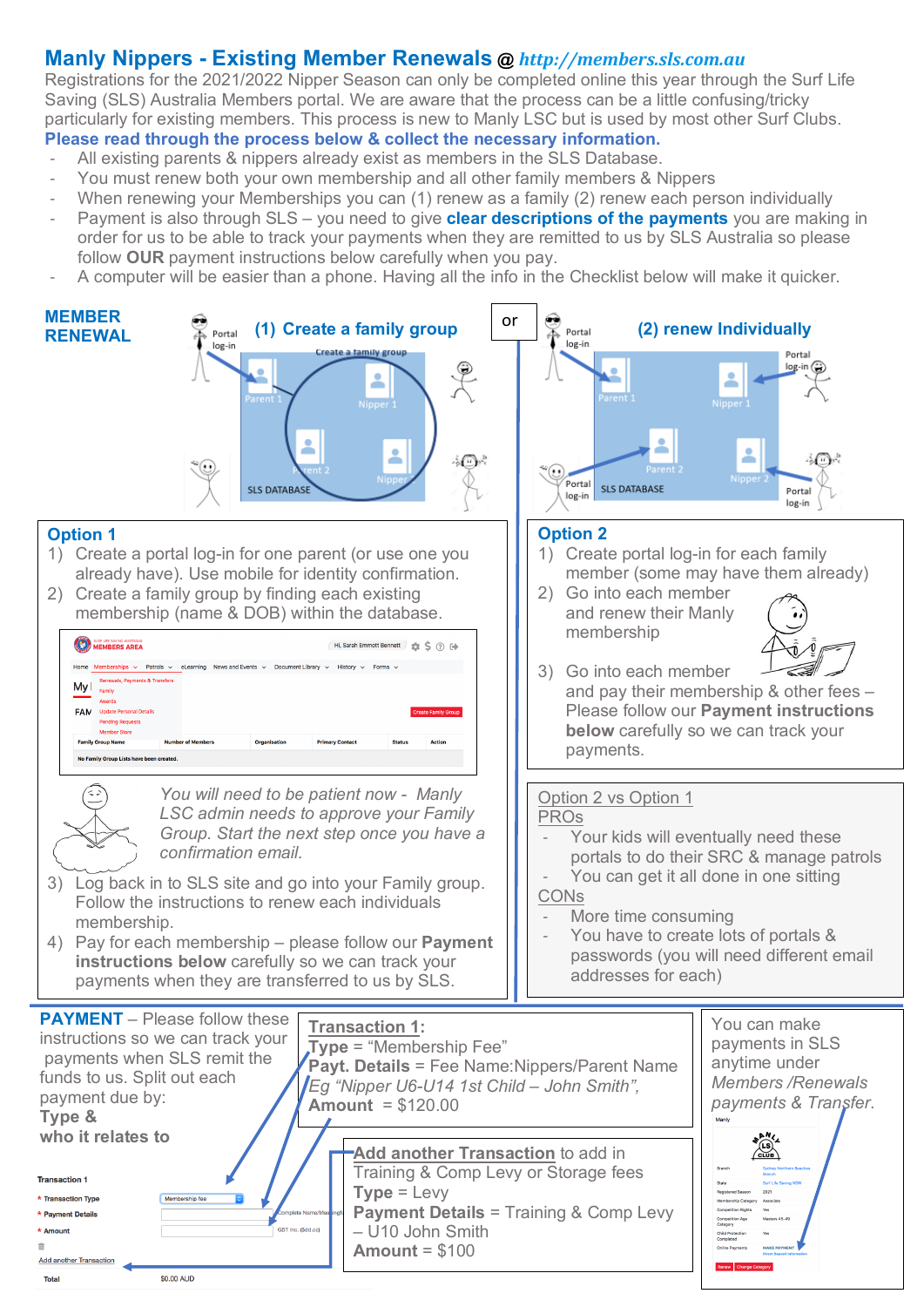### **Manly Nippers - Existing Member Renewals @** *http://members.sls.com.au*

Registrations for the 2021/2022 Nipper Season can only be completed online this year through the Surf Life Saving (SLS) Australia Members portal. We are aware that the process can be a little confusing/tricky particularly for existing members. This process is new to Manly LSC but is used by most other Surf Clubs. **Please read through the process below & collect the necessary information.**

- All existing parents & nippers already exist as members in the SLS Database.
- You must renew both your own membership and all other family members & Nippers
- When renewing your Memberships you can (1) renew as a family (2) renew each person individually
- Payment is also through SLS you need to give **clear descriptions of the payments** you are making in order for us to be able to track your payments when they are remitted to us by SLS Australia so please follow **OUR** payment instructions below carefully when you pay.
- A computer will be easier than a phone. Having all the info in the Checklist below will make it quicker.

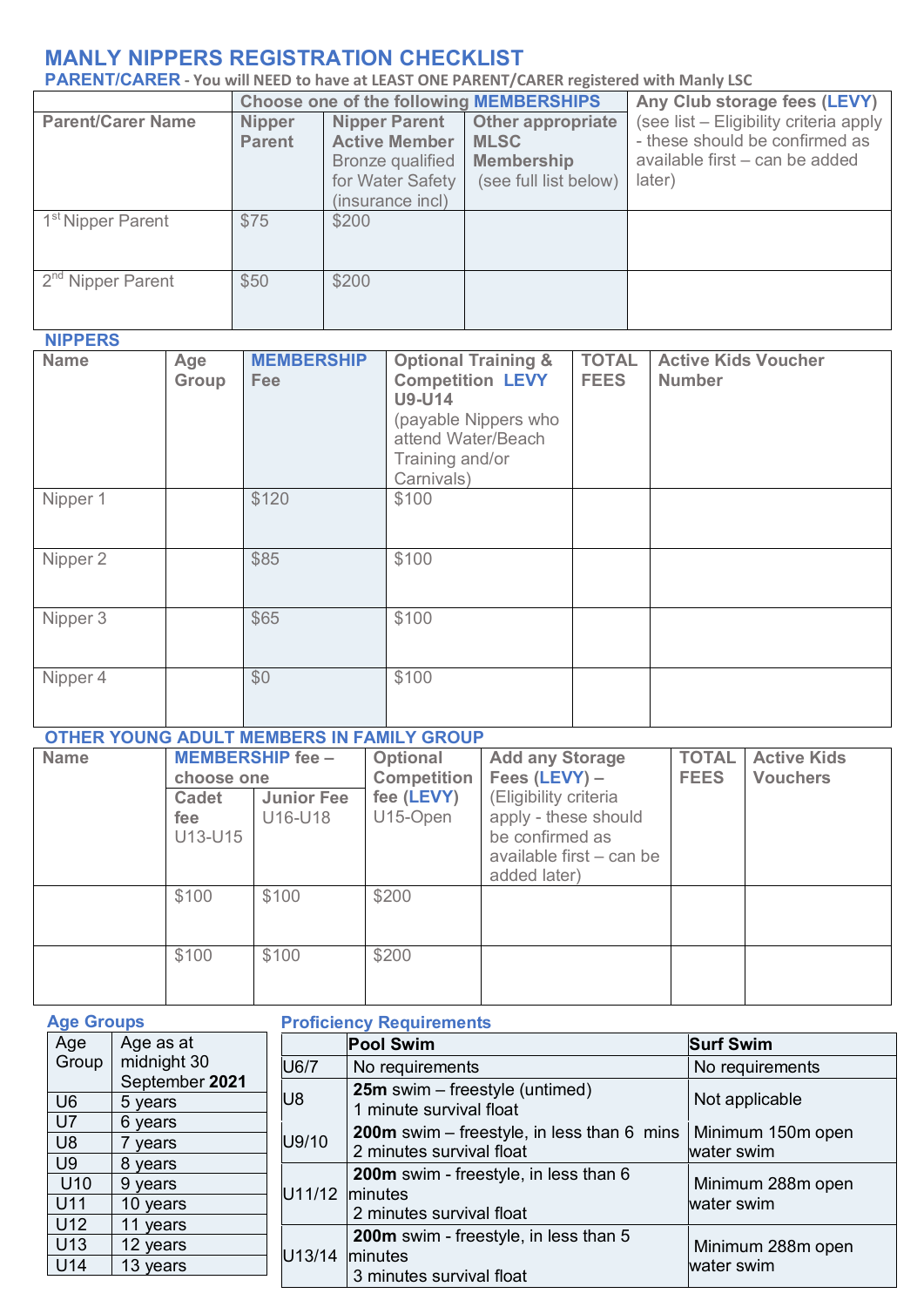## **MANLY NIPPERS REGISTRATION CHECKLIST**

**PARENT/CARER - You will NEED to have at LEAST ONE PARENT/CARER registered with Manly LSC** 

|                               |                                | <b>Choose one of the following MEMBERSHIPS</b>                                                           |                                                                                       | Any Club storage fees (LEVY)                                                                                         |
|-------------------------------|--------------------------------|----------------------------------------------------------------------------------------------------------|---------------------------------------------------------------------------------------|----------------------------------------------------------------------------------------------------------------------|
| <b>Parent/Carer Name</b>      | <b>Nipper</b><br><b>Parent</b> | <b>Nipper Parent</b><br><b>Active Member</b><br>Bronze qualified<br>for Water Safety<br>(insurance incl) | <b>Other appropriate</b><br><b>MLSC</b><br><b>Membership</b><br>(see full list below) | (see list - Eligibility criteria apply<br>- these should be confirmed as<br>available first – can be added<br>later) |
| 1 <sup>st</sup> Nipper Parent | \$75                           | \$200                                                                                                    |                                                                                       |                                                                                                                      |
| 2 <sup>nd</sup> Nipper Parent | \$50                           | \$200                                                                                                    |                                                                                       |                                                                                                                      |

### **NIPPERS**

| Name     | Age<br>Group | <b>MEMBERSHIP</b><br><b>Fee</b> | <b>Optional Training &amp;</b><br><b>Competition LEVY</b><br><b>U9-U14</b><br>(payable Nippers who<br>attend Water/Beach<br>Training and/or<br>Carnivals) | <b>TOTAL</b><br><b>FEES</b> | <b>Active Kids Voucher</b><br><b>Number</b> |
|----------|--------------|---------------------------------|-----------------------------------------------------------------------------------------------------------------------------------------------------------|-----------------------------|---------------------------------------------|
| Nipper 1 |              | \$120                           | \$100                                                                                                                                                     |                             |                                             |
| Nipper 2 |              | \$85                            | \$100                                                                                                                                                     |                             |                                             |
| Nipper 3 |              | \$65                            | \$100                                                                                                                                                     |                             |                                             |
| Nipper 4 |              | \$0                             | \$100                                                                                                                                                     |                             |                                             |

# **OTHER YOUNG ADULT MEMBERS IN FAMILY GROUP**

| <b>Name</b> | choose one   | <b>MEMBERSHIP fee -</b> | Optional<br><b>Competition</b> | <b>Add any Storage</b><br>Fees $(LEVY) -$ | <b>TOTAL</b><br><b>FEES</b> | <b>Active Kids</b><br><b>Vouchers</b> |
|-------------|--------------|-------------------------|--------------------------------|-------------------------------------------|-----------------------------|---------------------------------------|
|             |              |                         |                                |                                           |                             |                                       |
|             | <b>Cadet</b> | <b>Junior Fee</b>       | fee (LEVY)                     | (Eligibility criteria                     |                             |                                       |
|             | fee          | U16-U18                 | U15-Open                       | apply - these should                      |                             |                                       |
|             | U13-U15      |                         |                                | be confirmed as                           |                             |                                       |
|             |              |                         |                                | available first – can be                  |                             |                                       |
|             |              |                         |                                | added later)                              |                             |                                       |
|             | \$100        | \$100                   | \$200                          |                                           |                             |                                       |
|             |              |                         |                                |                                           |                             |                                       |
|             |              |                         |                                |                                           |                             |                                       |
|             | \$100        | \$100                   | \$200                          |                                           |                             |                                       |
|             |              |                         |                                |                                           |                             |                                       |
|             |              |                         |                                |                                           |                             |                                       |

| <b>Age Groups</b> |                |                | <b>Proficiency Requirements</b>                     |                   |
|-------------------|----------------|----------------|-----------------------------------------------------|-------------------|
| Age               | Age as at      |                | <b>Pool Swim</b>                                    | <b>Surf Swim</b>  |
| Group             | midnight 30    | U6/7           | No requirements                                     | No requirements   |
|                   | September 2021 |                | <b>25m</b> swim – freestyle (untimed)               |                   |
| U <sub>6</sub>    | 5 years        | U8             | 1 minute survival float                             | Not applicable    |
| U7                | 6 years        |                | <b>200m</b> swim $-$ freestyle, in less than 6 mins | Minimum 150m open |
| U <sub>8</sub>    | 7 years        | U9/10          | 2 minutes survival float                            | water swim        |
| U <sub>9</sub>    | 8 years        |                |                                                     |                   |
| U10               | 9 years        | U11/12 minutes | 200m swim - freestyle, in less than 6               | Minimum 288m open |
| U11               | 10 years       |                | 2 minutes survival float                            | water swim        |
| U12               | 11 years       |                |                                                     |                   |
| U13               | 12 years       |                | 200m swim - freestyle, in less than 5               | Minimum 288m open |
| U14               | 13 years       | U13/14         | minutes<br>3 minutes survival float                 | water swim        |